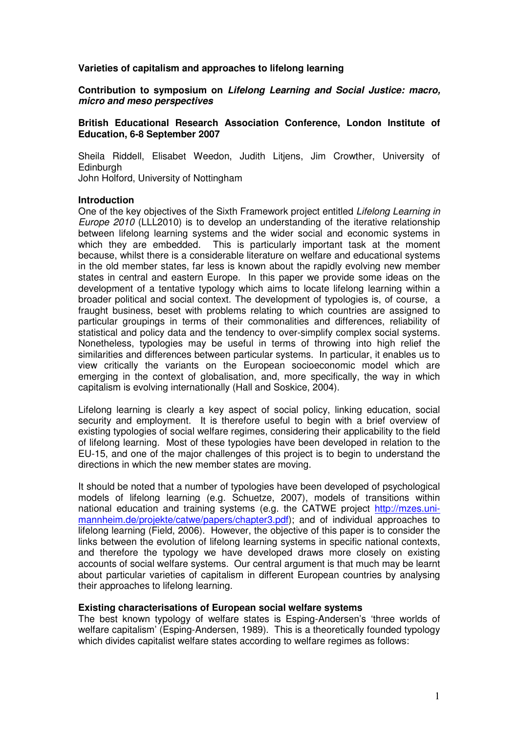## Varieties of capitalism and approaches to lifelong learning

Contribution to symposium on Lifelong Learning and Social Justice: macro, micro and meso perspectives

## British Educational Research Association Conference, London Institute of Education, 6-8 September 2007

Sheila Riddell, Elisabet Weedon, Judith Litjens, Jim Crowther, University of **Edinburgh** John Holford, University of Nottingham

## **Introduction**

One of the key objectives of the Sixth Framework project entitled Lifelong Learning in Europe 2010 (LLL2010) is to develop an understanding of the iterative relationship between lifelong learning systems and the wider social and economic systems in which they are embedded. This is particularly important task at the moment because, whilst there is a considerable literature on welfare and educational systems in the old member states, far less is known about the rapidly evolving new member states in central and eastern Europe. In this paper we provide some ideas on the development of a tentative typology which aims to locate lifelong learning within a broader political and social context. The development of typologies is, of course, a fraught business, beset with problems relating to which countries are assigned to particular groupings in terms of their commonalities and differences, reliability of statistical and policy data and the tendency to over-simplify complex social systems. Nonetheless, typologies may be useful in terms of throwing into high relief the similarities and differences between particular systems. In particular, it enables us to view critically the variants on the European socioeconomic model which are emerging in the context of globalisation, and, more specifically, the way in which capitalism is evolving internationally (Hall and Soskice, 2004).

Lifelong learning is clearly a key aspect of social policy, linking education, social security and employment. It is therefore useful to begin with a brief overview of existing typologies of social welfare regimes, considering their applicability to the field of lifelong learning. Most of these typologies have been developed in relation to the EU-15, and one of the major challenges of this project is to begin to understand the directions in which the new member states are moving.

It should be noted that a number of typologies have been developed of psychological models of lifelong learning (e.g. Schuetze, 2007), models of transitions within national education and training systems (e.g. the CATWE project http://mzes.unimannheim.de/projekte/catwe/papers/chapter3.pdf); and of individual approaches to lifelong learning (Field, 2006). However, the objective of this paper is to consider the links between the evolution of lifelong learning systems in specific national contexts, and therefore the typology we have developed draws more closely on existing accounts of social welfare systems. Our central argument is that much may be learnt about particular varieties of capitalism in different European countries by analysing their approaches to lifelong learning.

## Existing characterisations of European social welfare systems

The best known typology of welfare states is Esping-Andersen's 'three worlds of welfare capitalism' (Esping-Andersen, 1989). This is a theoretically founded typology which divides capitalist welfare states according to welfare regimes as follows: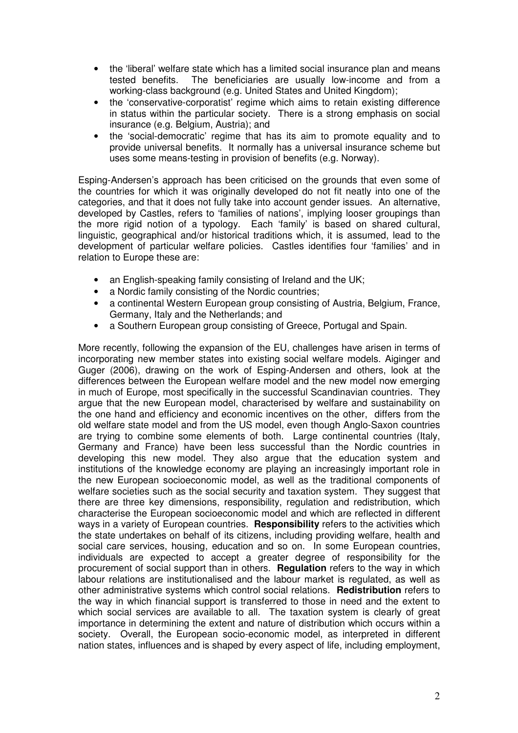- the 'liberal' welfare state which has a limited social insurance plan and means tested benefits. The beneficiaries are usually low-income and from a working-class background (e.g. United States and United Kingdom);
- the 'conservative-corporatist' regime which aims to retain existing difference in status within the particular society. There is a strong emphasis on social insurance (e.g. Belgium, Austria); and
- the 'social-democratic' regime that has its aim to promote equality and to provide universal benefits. It normally has a universal insurance scheme but uses some means-testing in provision of benefits (e.g. Norway).

Esping-Andersen's approach has been criticised on the grounds that even some of the countries for which it was originally developed do not fit neatly into one of the categories, and that it does not fully take into account gender issues. An alternative, developed by Castles, refers to 'families of nations', implying looser groupings than the more rigid notion of a typology. Each 'family' is based on shared cultural, linguistic, geographical and/or historical traditions which, it is assumed, lead to the development of particular welfare policies. Castles identifies four 'families' and in relation to Europe these are:

- an English-speaking family consisting of Ireland and the UK;
- a Nordic family consisting of the Nordic countries;
- a continental Western European group consisting of Austria, Belgium, France, Germany, Italy and the Netherlands; and
- a Southern European group consisting of Greece, Portugal and Spain.

More recently, following the expansion of the EU, challenges have arisen in terms of incorporating new member states into existing social welfare models. Aiginger and Guger (2006), drawing on the work of Esping-Andersen and others, look at the differences between the European welfare model and the new model now emerging in much of Europe, most specifically in the successful Scandinavian countries. They argue that the new European model, characterised by welfare and sustainability on the one hand and efficiency and economic incentives on the other, differs from the old welfare state model and from the US model, even though Anglo-Saxon countries are trying to combine some elements of both. Large continental countries (Italy, Germany and France) have been less successful than the Nordic countries in developing this new model. They also argue that the education system and institutions of the knowledge economy are playing an increasingly important role in the new European socioeconomic model, as well as the traditional components of welfare societies such as the social security and taxation system. They suggest that there are three key dimensions, responsibility, regulation and redistribution, which characterise the European socioeconomic model and which are reflected in different ways in a variety of European countries. Responsibility refers to the activities which the state undertakes on behalf of its citizens, including providing welfare, health and social care services, housing, education and so on. In some European countries, individuals are expected to accept a greater degree of responsibility for the procurement of social support than in others. Regulation refers to the way in which labour relations are institutionalised and the labour market is regulated, as well as other administrative systems which control social relations. Redistribution refers to the way in which financial support is transferred to those in need and the extent to which social services are available to all. The taxation system is clearly of great importance in determining the extent and nature of distribution which occurs within a society. Overall, the European socio-economic model, as interpreted in different nation states, influences and is shaped by every aspect of life, including employment,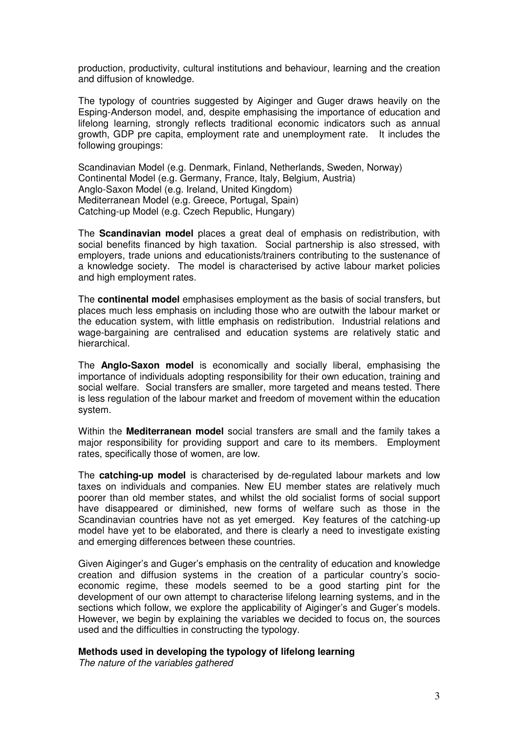production, productivity, cultural institutions and behaviour, learning and the creation and diffusion of knowledge.

The typology of countries suggested by Aiginger and Guger draws heavily on the Esping-Anderson model, and, despite emphasising the importance of education and lifelong learning, strongly reflects traditional economic indicators such as annual growth, GDP pre capita, employment rate and unemployment rate. It includes the following groupings:

Scandinavian Model (e.g. Denmark, Finland, Netherlands, Sweden, Norway) Continental Model (e.g. Germany, France, Italy, Belgium, Austria) Anglo-Saxon Model (e.g. Ireland, United Kingdom) Mediterranean Model (e.g. Greece, Portugal, Spain) Catching-up Model (e.g. Czech Republic, Hungary)

The Scandinavian model places a great deal of emphasis on redistribution, with social benefits financed by high taxation. Social partnership is also stressed, with employers, trade unions and educationists/trainers contributing to the sustenance of a knowledge society. The model is characterised by active labour market policies and high employment rates.

The continental model emphasises employment as the basis of social transfers, but places much less emphasis on including those who are outwith the labour market or the education system, with little emphasis on redistribution. Industrial relations and wage-bargaining are centralised and education systems are relatively static and hierarchical.

The Anglo-Saxon model is economically and socially liberal, emphasising the importance of individuals adopting responsibility for their own education, training and social welfare. Social transfers are smaller, more targeted and means tested. There is less regulation of the labour market and freedom of movement within the education system.

Within the **Mediterranean model** social transfers are small and the family takes a major responsibility for providing support and care to its members. Employment rates, specifically those of women, are low.

The catching-up model is characterised by de-regulated labour markets and low taxes on individuals and companies. New EU member states are relatively much poorer than old member states, and whilst the old socialist forms of social support have disappeared or diminished, new forms of welfare such as those in the Scandinavian countries have not as yet emerged. Key features of the catching-up model have yet to be elaborated, and there is clearly a need to investigate existing and emerging differences between these countries.

Given Aiginger's and Guger's emphasis on the centrality of education and knowledge creation and diffusion systems in the creation of a particular country's socioeconomic regime, these models seemed to be a good starting pint for the development of our own attempt to characterise lifelong learning systems, and in the sections which follow, we explore the applicability of Aiginger's and Guger's models. However, we begin by explaining the variables we decided to focus on, the sources used and the difficulties in constructing the typology.

## Methods used in developing the typology of lifelong learning

The nature of the variables gathered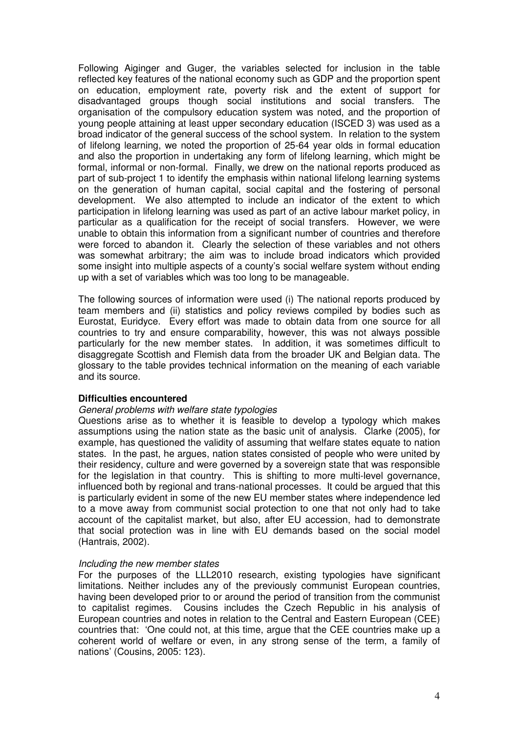Following Aiginger and Guger, the variables selected for inclusion in the table reflected key features of the national economy such as GDP and the proportion spent on education, employment rate, poverty risk and the extent of support for disadvantaged groups though social institutions and social transfers. The organisation of the compulsory education system was noted, and the proportion of young people attaining at least upper secondary education (ISCED 3) was used as a broad indicator of the general success of the school system. In relation to the system of lifelong learning, we noted the proportion of 25-64 year olds in formal education and also the proportion in undertaking any form of lifelong learning, which might be formal, informal or non-formal. Finally, we drew on the national reports produced as part of sub-project 1 to identify the emphasis within national lifelong learning systems on the generation of human capital, social capital and the fostering of personal development. We also attempted to include an indicator of the extent to which participation in lifelong learning was used as part of an active labour market policy, in particular as a qualification for the receipt of social transfers. However, we were unable to obtain this information from a significant number of countries and therefore were forced to abandon it. Clearly the selection of these variables and not others was somewhat arbitrary; the aim was to include broad indicators which provided some insight into multiple aspects of a county's social welfare system without ending up with a set of variables which was too long to be manageable.

The following sources of information were used (i) The national reports produced by team members and (ii) statistics and policy reviews compiled by bodies such as Eurostat, Euridyce. Every effort was made to obtain data from one source for all countries to try and ensure comparability, however, this was not always possible particularly for the new member states. In addition, it was sometimes difficult to disaggregate Scottish and Flemish data from the broader UK and Belgian data. The glossary to the table provides technical information on the meaning of each variable and its source.

## Difficulties encountered

## General problems with welfare state typologies

Questions arise as to whether it is feasible to develop a typology which makes assumptions using the nation state as the basic unit of analysis. Clarke (2005), for example, has questioned the validity of assuming that welfare states equate to nation states. In the past, he argues, nation states consisted of people who were united by their residency, culture and were governed by a sovereign state that was responsible for the legislation in that country. This is shifting to more multi-level governance, influenced both by regional and trans-national processes. It could be argued that this is particularly evident in some of the new EU member states where independence led to a move away from communist social protection to one that not only had to take account of the capitalist market, but also, after EU accession, had to demonstrate that social protection was in line with EU demands based on the social model (Hantrais, 2002).

## Including the new member states

For the purposes of the LLL2010 research, existing typologies have significant limitations. Neither includes any of the previously communist European countries, having been developed prior to or around the period of transition from the communist to capitalist regimes. Cousins includes the Czech Republic in his analysis of European countries and notes in relation to the Central and Eastern European (CEE) countries that: 'One could not, at this time, argue that the CEE countries make up a coherent world of welfare or even, in any strong sense of the term, a family of nations' (Cousins, 2005: 123).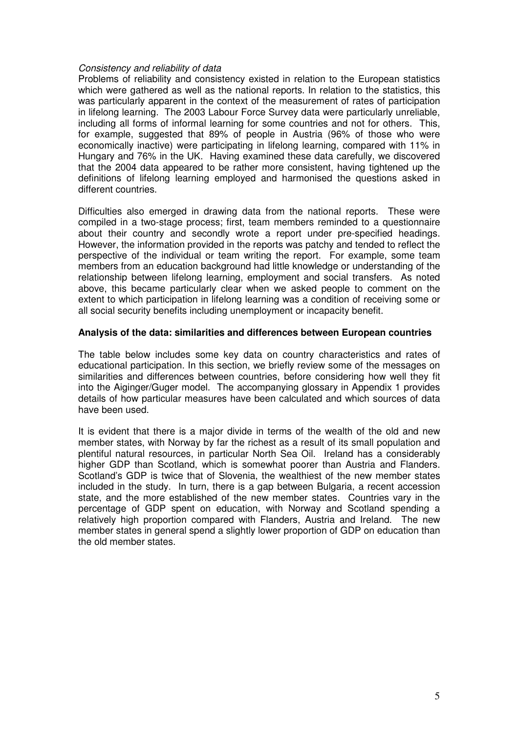## Consistency and reliability of data

Problems of reliability and consistency existed in relation to the European statistics which were gathered as well as the national reports. In relation to the statistics, this was particularly apparent in the context of the measurement of rates of participation in lifelong learning. The 2003 Labour Force Survey data were particularly unreliable, including all forms of informal learning for some countries and not for others. This, for example, suggested that 89% of people in Austria (96% of those who were economically inactive) were participating in lifelong learning, compared with 11% in Hungary and 76% in the UK. Having examined these data carefully, we discovered that the 2004 data appeared to be rather more consistent, having tightened up the definitions of lifelong learning employed and harmonised the questions asked in different countries.

Difficulties also emerged in drawing data from the national reports. These were compiled in a two-stage process; first, team members reminded to a questionnaire about their country and secondly wrote a report under pre-specified headings. However, the information provided in the reports was patchy and tended to reflect the perspective of the individual or team writing the report. For example, some team members from an education background had little knowledge or understanding of the relationship between lifelong learning, employment and social transfers. As noted above, this became particularly clear when we asked people to comment on the extent to which participation in lifelong learning was a condition of receiving some or all social security benefits including unemployment or incapacity benefit.

## Analysis of the data: similarities and differences between European countries

The table below includes some key data on country characteristics and rates of educational participation. In this section, we briefly review some of the messages on similarities and differences between countries, before considering how well they fit into the Aiginger/Guger model. The accompanying glossary in Appendix 1 provides details of how particular measures have been calculated and which sources of data have been used.

It is evident that there is a major divide in terms of the wealth of the old and new member states, with Norway by far the richest as a result of its small population and plentiful natural resources, in particular North Sea Oil. Ireland has a considerably higher GDP than Scotland, which is somewhat poorer than Austria and Flanders. Scotland's GDP is twice that of Slovenia, the wealthiest of the new member states included in the study. In turn, there is a gap between Bulgaria, a recent accession state, and the more established of the new member states. Countries vary in the percentage of GDP spent on education, with Norway and Scotland spending a relatively high proportion compared with Flanders, Austria and Ireland. The new member states in general spend a slightly lower proportion of GDP on education than the old member states.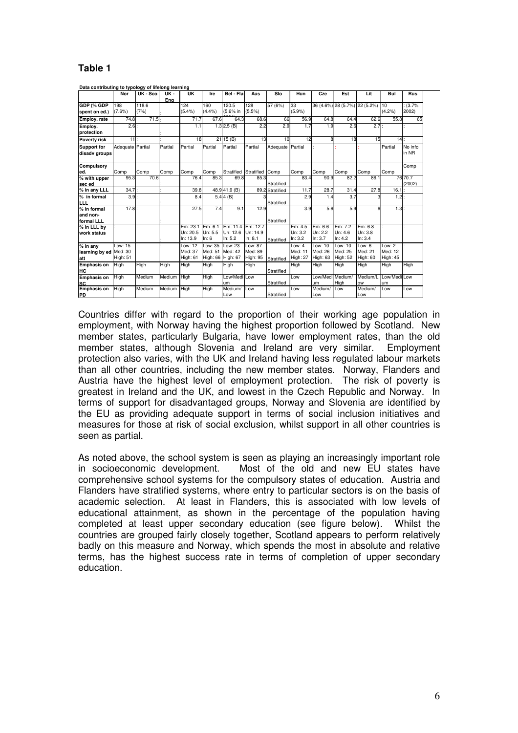| Data contributing to typology of lifelong learning | Nor                        | UK - Sco | UK -    | UK                  | Ire                          | Bel - Flal    | Aus                        | Slo        | Hun                 | Cze                 | Est                           | Lit                 | Bul                        | Rus               |
|----------------------------------------------------|----------------------------|----------|---------|---------------------|------------------------------|---------------|----------------------------|------------|---------------------|---------------------|-------------------------------|---------------------|----------------------------|-------------------|
|                                                    |                            |          | Ena     |                     |                              |               |                            |            |                     |                     |                               |                     |                            |                   |
| GDP (% GDP                                         | 198                        | 118.6    |         | 124                 | 160                          | 120.5         | 128                        | 57 (6%)    | 33                  |                     | 36 (4.6%) 28 (5.7%) 22 (5.2%) |                     | 10                         | : (3.7%           |
| spent on ed.)                                      | (7.6%)                     | (7%)     |         | (5.4%)              | (4.4%                        | (5.6% in      | $(5.5\%)$                  |            | (5.9%)              |                     |                               |                     | (4.2%)                     | 2002)             |
| Employ. rate                                       | 74.8                       | 71.5     |         | 71.7                | 67.6                         | 64.3          | 68.6                       | 66         | 56.9                | 64.8                | 64.4                          | 62.6                | 55.8                       | 65                |
| Employ.                                            | 2.6                        |          |         | 1.1                 |                              | $1.3$ 2.5 (B) | 2.2                        | 2.9        | 1.7                 | 1.9                 | 2.6                           | 2.7                 |                            |                   |
| protection                                         |                            |          |         |                     |                              |               |                            |            |                     |                     |                               |                     |                            |                   |
| Poverty risk                                       | 11:                        |          |         | 18                  |                              | 2115(B)       | 13                         | 10         | 12                  | 8                   | 18                            | 15                  | 14:                        |                   |
| <b>Support for</b>                                 | Adequate Partial           |          | Partial | Partial             | Partial                      | Partial       | Partial                    | Adequate   | Partial             |                     |                               |                     | Partial                    | No info           |
| disadv groups                                      |                            |          |         |                     |                              |               |                            |            |                     |                     |                               |                     |                            | in NR             |
|                                                    |                            |          |         |                     |                              |               |                            |            |                     |                     |                               |                     |                            |                   |
| Compulsory                                         |                            |          |         |                     |                              |               |                            |            |                     |                     |                               |                     |                            | Comp              |
| ed.                                                | Comp                       | Comp     | Comp    | Comp                | Comp                         | Stratified    | Stratified                 | Comp       | Comp                | Comp                | Comp                          | Comp                | Comp                       |                   |
| % with upper<br>sec ed                             | 95.3                       | 70.6     |         | 76.4                | 85.3                         | 69.8          | 85.3                       | Stratified | 83.4                | 90.9                | 82.2                          | 86.1                |                            | 76 70.7<br>(2002) |
| % in any LLL                                       | 34.7:                      |          |         | 39.8                |                              | 48.941.9 (B)  | 89.2                       | Stratified | 11.7                | 28.7                | 31.4                          | 27.8                | 16.1                       |                   |
| % in formal                                        | 3.9                        |          |         | 8.4                 |                              | 5.44(B)       |                            |            | 2.9                 | 1.4                 | 3.7                           |                     | 1.2                        |                   |
| LLL                                                |                            |          |         |                     |                              |               |                            | Stratified |                     |                     |                               |                     |                            |                   |
| % in formal                                        | 17.8:                      |          |         | 27.5                | 7.4                          | 9.1           | 12.9                       |            | 3.9                 | 5.6                 | 5.9                           |                     | 1.3:                       |                   |
| and non-                                           |                            |          |         |                     |                              |               |                            |            |                     |                     |                               |                     |                            |                   |
| formal LLL                                         |                            |          |         |                     |                              |               |                            | Stratified |                     |                     |                               |                     |                            |                   |
| % in LLL by                                        |                            |          |         | Em: 23.1            | Em: 6.1                      | Em: 11.4      | Em: 12.7                   |            | Em: 4.5             | Em: 6.6             | Em: 7.2                       | Em: 6.8             |                            |                   |
| work status                                        |                            |          |         | Un: 20.5            | Un: 5.5                      | Un: 12.6      | Un: 14.9                   |            | Un: 3.2             | Un: 2.2             | Un: 4.6                       | Un: 3.8             |                            |                   |
|                                                    |                            |          |         | In: 13.9            | In: 6                        | ln: 5.2       | In: 8.1                    | Stratified | ln: 3.2             | ln: 3.7             | ln: 4.2                       | In: 3.4             |                            |                   |
| $%$ in any                                         | Low: 15                    |          |         | Low: 12             | Low: 35                      | Low: 23       | Low: 87                    |            | Low: $4$            | Low: 10             | Low: $10$                     | Low: 6              | Low: 2                     |                   |
| learning by ed                                     | Med: 30<br><b>High: 51</b> |          |         | Med: 37<br>High: 61 | Med: 51<br>High: 66 High: 67 | Med: 42       | Med: 89<br><b>High: 95</b> |            | Med: 11<br>High: 27 | Med: 26<br>High: 63 | Med: 25<br>High: 52           | Med: 21<br>High: 60 | Med: 12<br><b>High: 45</b> |                   |
| att                                                |                            |          |         |                     |                              |               |                            | Stratified |                     |                     |                               |                     |                            |                   |
| <b>Emphasis on</b><br>HC                           | High                       | High     | High    | High                | High                         | High          | High                       | Stratified | High                | High                | High                          | High                | High                       | High              |
| <b>Emphasis on</b>                                 | High                       | Medium   | Medium  | High                | High                         | Low/Medi Low  |                            |            | Low                 | Low/Medi Medium/    |                               | Medium/L            | Low/MediLow                |                   |
| <b>SC</b>                                          |                            |          |         |                     |                              | um            |                            | Stratified |                     | um                  | High                          | ow                  | um                         |                   |
| <b>Emphasis on</b>                                 | High                       | Medium   | Medium  | High                | High                         | Medium/       | Low                        |            | Low                 | Medium/             | Low                           | Medium/             | Low                        | Low               |
| PD                                                 |                            |          |         |                     |                              | Low           |                            | Stratified |                     | Low                 |                               | Low                 |                            |                   |

# Table 1

Countries differ with regard to the proportion of their working age population in employment, with Norway having the highest proportion followed by Scotland. New member states, particularly Bulgaria, have lower employment rates, than the old member states, although Slovenia and Ireland are very similar. Employment protection also varies, with the UK and Ireland having less regulated labour markets than all other countries, including the new member states. Norway, Flanders and Austria have the highest level of employment protection. The risk of poverty is greatest in Ireland and the UK, and lowest in the Czech Republic and Norway. In terms of support for disadvantaged groups, Norway and Slovenia are identified by the EU as providing adequate support in terms of social inclusion initiatives and measures for those at risk of social exclusion, whilst support in all other countries is seen as partial.

As noted above, the school system is seen as playing an increasingly important role in socioeconomic development. Most of the old and new EU states have comprehensive school systems for the compulsory states of education. Austria and Flanders have stratified systems, where entry to particular sectors is on the basis of academic selection. At least in Flanders, this is associated with low levels of educational attainment, as shown in the percentage of the population having completed at least upper secondary education (see figure below). Whilst the countries are grouped fairly closely together, Scotland appears to perform relatively badly on this measure and Norway, which spends the most in absolute and relative terms, has the highest success rate in terms of completion of upper secondary education.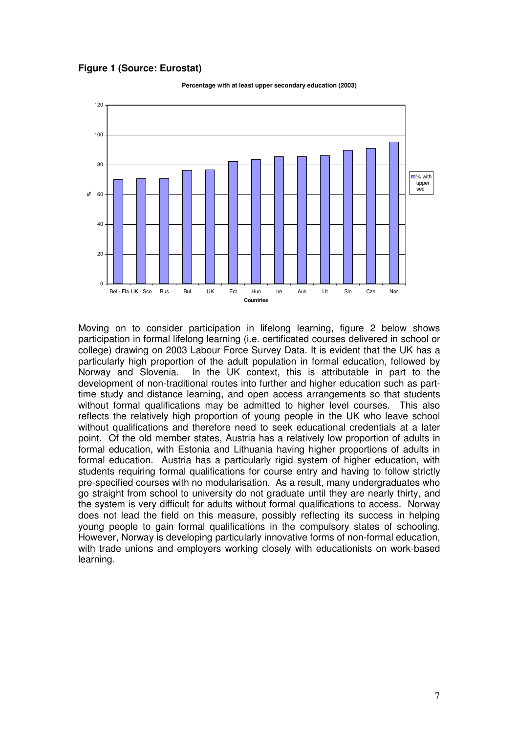## Figure 1 (Source: Eurostat)



Percentage with at least upper secondary education (2003)

Moving on to consider participation in lifelong learning, figure 2 below shows participation in formal lifelong learning (i.e. certificated courses delivered in school or college) drawing on 2003 Labour Force Survey Data. It is evident that the UK has a particularly high proportion of the adult population in formal education, followed by Norway and Slovenia. In the UK context, this is attributable in part to the development of non-traditional routes into further and higher education such as parttime study and distance learning, and open access arrangements so that students without formal qualifications may be admitted to higher level courses. This also reflects the relatively high proportion of young people in the UK who leave school without qualifications and therefore need to seek educational credentials at a later point. Of the old member states, Austria has a relatively low proportion of adults in formal education, with Estonia and Lithuania having higher proportions of adults in formal education. Austria has a particularly rigid system of higher education, with students requiring formal qualifications for course entry and having to follow strictly pre-specified courses with no modularisation. As a result, many undergraduates who go straight from school to university do not graduate until they are nearly thirty, and the system is very difficult for adults without formal qualifications to access. Norway does not lead the field on this measure, possibly reflecting its success in helping young people to gain formal qualifications in the compulsory states of schooling. However, Norway is developing particularly innovative forms of non-formal education, with trade unions and employers working closely with educationists on work-based learning.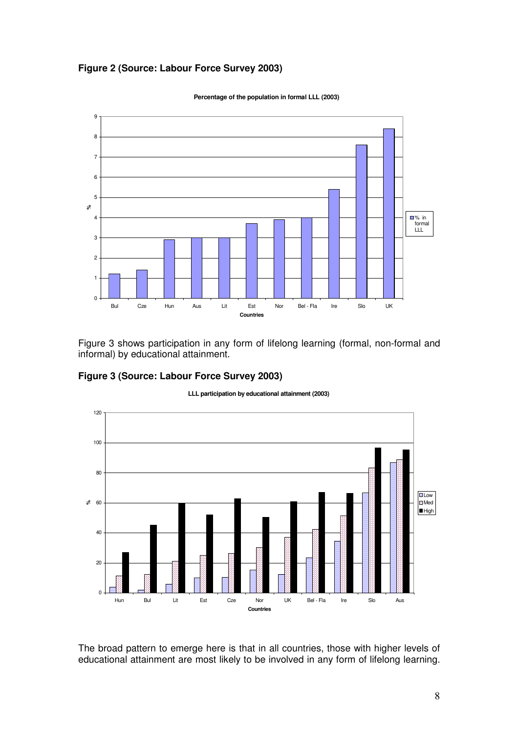## Figure 2 (Source: Labour Force Survey 2003)



Percentage of the population in formal LLL (2003)

Figure 3 shows participation in any form of lifelong learning (formal, non-formal and informal) by educational attainment.



Figure 3 (Source: Labour Force Survey 2003)

LLL participation by educational attainment (2003)

The broad pattern to emerge here is that in all countries, those with higher levels of educational attainment are most likely to be involved in any form of lifelong learning.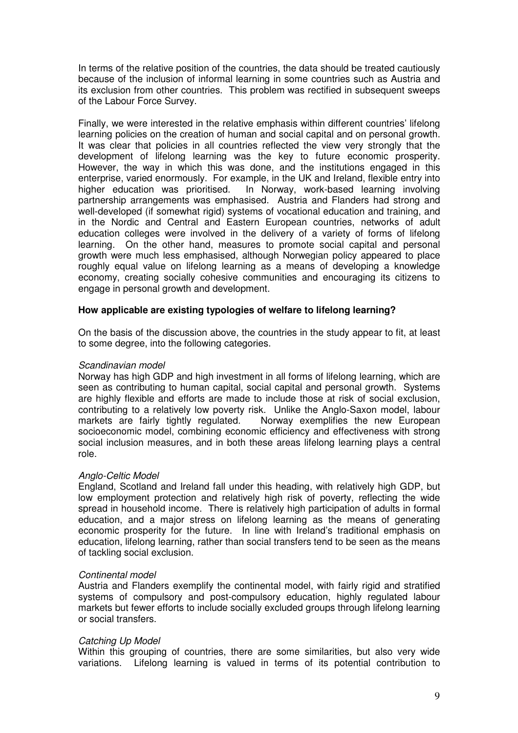In terms of the relative position of the countries, the data should be treated cautiously because of the inclusion of informal learning in some countries such as Austria and its exclusion from other countries. This problem was rectified in subsequent sweeps of the Labour Force Survey.

Finally, we were interested in the relative emphasis within different countries' lifelong learning policies on the creation of human and social capital and on personal growth. It was clear that policies in all countries reflected the view very strongly that the development of lifelong learning was the key to future economic prosperity. However, the way in which this was done, and the institutions engaged in this enterprise, varied enormously. For example, in the UK and Ireland, flexible entry into higher education was prioritised. In Norway, work-based learning involving partnership arrangements was emphasised. Austria and Flanders had strong and well-developed (if somewhat rigid) systems of vocational education and training, and in the Nordic and Central and Eastern European countries, networks of adult education colleges were involved in the delivery of a variety of forms of lifelong learning. On the other hand, measures to promote social capital and personal growth were much less emphasised, although Norwegian policy appeared to place roughly equal value on lifelong learning as a means of developing a knowledge economy, creating socially cohesive communities and encouraging its citizens to engage in personal growth and development.

## How applicable are existing typologies of welfare to lifelong learning?

On the basis of the discussion above, the countries in the study appear to fit, at least to some degree, into the following categories.

## Scandinavian model

Norway has high GDP and high investment in all forms of lifelong learning, which are seen as contributing to human capital, social capital and personal growth. Systems are highly flexible and efforts are made to include those at risk of social exclusion, contributing to a relatively low poverty risk. Unlike the Anglo-Saxon model, labour markets are fairly tightly regulated. Norway exemplifies the new European Norway exemplifies the new European socioeconomic model, combining economic efficiency and effectiveness with strong social inclusion measures, and in both these areas lifelong learning plays a central role.

## Anglo-Celtic Model

England, Scotland and Ireland fall under this heading, with relatively high GDP, but low employment protection and relatively high risk of poverty, reflecting the wide spread in household income. There is relatively high participation of adults in formal education, and a major stress on lifelong learning as the means of generating economic prosperity for the future. In line with Ireland's traditional emphasis on education, lifelong learning, rather than social transfers tend to be seen as the means of tackling social exclusion.

## Continental model

Austria and Flanders exemplify the continental model, with fairly rigid and stratified systems of compulsory and post-compulsory education, highly regulated labour markets but fewer efforts to include socially excluded groups through lifelong learning or social transfers.

## Catching Up Model

Within this grouping of countries, there are some similarities, but also very wide variations. Lifelong learning is valued in terms of its potential contribution to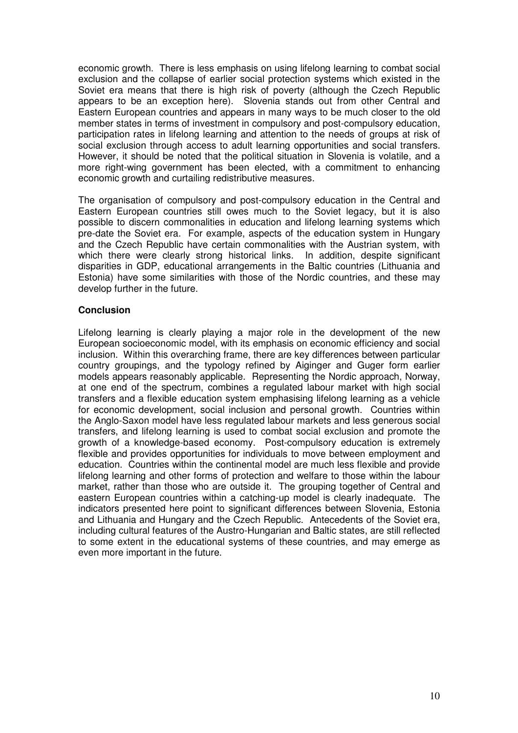economic growth. There is less emphasis on using lifelong learning to combat social exclusion and the collapse of earlier social protection systems which existed in the Soviet era means that there is high risk of poverty (although the Czech Republic appears to be an exception here). Slovenia stands out from other Central and Eastern European countries and appears in many ways to be much closer to the old member states in terms of investment in compulsory and post-compulsory education, participation rates in lifelong learning and attention to the needs of groups at risk of social exclusion through access to adult learning opportunities and social transfers. However, it should be noted that the political situation in Slovenia is volatile, and a more right-wing government has been elected, with a commitment to enhancing economic growth and curtailing redistributive measures.

The organisation of compulsory and post-compulsory education in the Central and Eastern European countries still owes much to the Soviet legacy, but it is also possible to discern commonalities in education and lifelong learning systems which pre-date the Soviet era. For example, aspects of the education system in Hungary and the Czech Republic have certain commonalities with the Austrian system, with which there were clearly strong historical links. In addition, despite significant disparities in GDP, educational arrangements in the Baltic countries (Lithuania and Estonia) have some similarities with those of the Nordic countries, and these may develop further in the future.

## **Conclusion**

Lifelong learning is clearly playing a major role in the development of the new European socioeconomic model, with its emphasis on economic efficiency and social inclusion. Within this overarching frame, there are key differences between particular country groupings, and the typology refined by Aiginger and Guger form earlier models appears reasonably applicable. Representing the Nordic approach, Norway, at one end of the spectrum, combines a regulated labour market with high social transfers and a flexible education system emphasising lifelong learning as a vehicle for economic development, social inclusion and personal growth. Countries within the Anglo-Saxon model have less regulated labour markets and less generous social transfers, and lifelong learning is used to combat social exclusion and promote the growth of a knowledge-based economy. Post-compulsory education is extremely flexible and provides opportunities for individuals to move between employment and education. Countries within the continental model are much less flexible and provide lifelong learning and other forms of protection and welfare to those within the labour market, rather than those who are outside it. The grouping together of Central and eastern European countries within a catching-up model is clearly inadequate. The indicators presented here point to significant differences between Slovenia, Estonia and Lithuania and Hungary and the Czech Republic. Antecedents of the Soviet era, including cultural features of the Austro-Hungarian and Baltic states, are still reflected to some extent in the educational systems of these countries, and may emerge as even more important in the future.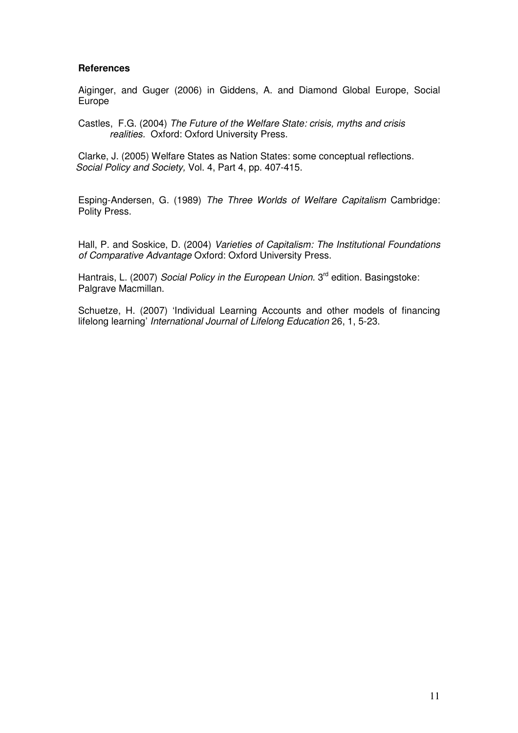## **References**

Aiginger, and Guger (2006) in Giddens, A. and Diamond Global Europe, Social **Europe** 

Castles, F.G. (2004) The Future of the Welfare State: crisis, myths and crisis realities. Oxford: Oxford University Press.

Clarke, J. (2005) Welfare States as Nation States: some conceptual reflections. Social Policy and Society, Vol. 4, Part 4, pp. 407-415.

Esping-Andersen, G. (1989) The Three Worlds of Welfare Capitalism Cambridge: Polity Press.

Hall, P. and Soskice, D. (2004) Varieties of Capitalism: The Institutional Foundations of Comparative Advantage Oxford: Oxford University Press.

Hantrais, L. (2007) Social Policy in the European Union. 3<sup>rd</sup> edition. Basingstoke: Palgrave Macmillan.

Schuetze, H. (2007) 'Individual Learning Accounts and other models of financing lifelong learning' International Journal of Lifelong Education 26, 1, 5-23.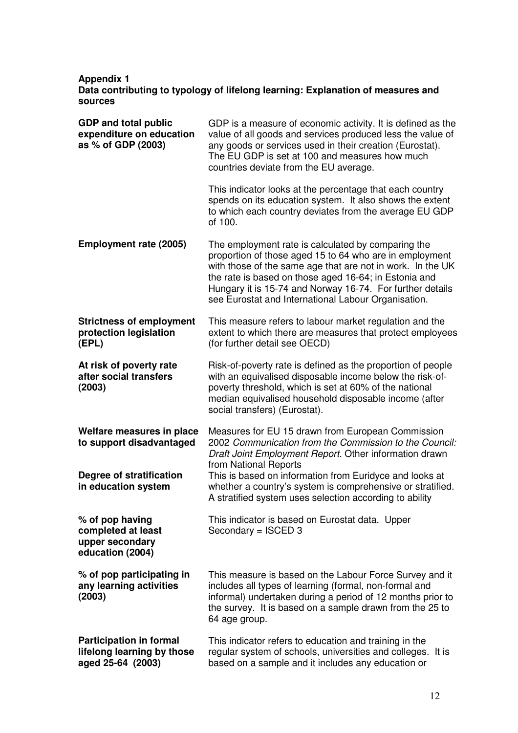## Appendix 1 Data contributing to typology of lifelong learning: Explanation of measures and sources

| <b>GDP and total public</b><br>expenditure on education<br>as % of GDP (2003)     | GDP is a measure of economic activity. It is defined as the<br>value of all goods and services produced less the value of<br>any goods or services used in their creation (Eurostat).<br>The EU GDP is set at 100 and measures how much<br>countries deviate from the EU average.                                                                        |
|-----------------------------------------------------------------------------------|----------------------------------------------------------------------------------------------------------------------------------------------------------------------------------------------------------------------------------------------------------------------------------------------------------------------------------------------------------|
|                                                                                   | This indicator looks at the percentage that each country<br>spends on its education system. It also shows the extent<br>to which each country deviates from the average EU GDP<br>of 100.                                                                                                                                                                |
| <b>Employment rate (2005)</b>                                                     | The employment rate is calculated by comparing the<br>proportion of those aged 15 to 64 who are in employment<br>with those of the same age that are not in work. In the UK<br>the rate is based on those aged 16-64; in Estonia and<br>Hungary it is 15-74 and Norway 16-74. For further details<br>see Eurostat and International Labour Organisation. |
| <b>Strictness of employment</b><br>protection legislation<br>(EPL)                | This measure refers to labour market regulation and the<br>extent to which there are measures that protect employees<br>(for further detail see OECD)                                                                                                                                                                                                    |
| At risk of poverty rate<br>after social transfers<br>(2003)                       | Risk-of-poverty rate is defined as the proportion of people<br>with an equivalised disposable income below the risk-of-<br>poverty threshold, which is set at 60% of the national<br>median equivalised household disposable income (after<br>social transfers) (Eurostat).                                                                              |
| Welfare measures in place<br>to support disadvantaged                             | Measures for EU 15 drawn from European Commission<br>2002 Communication from the Commission to the Council:<br>Draft Joint Employment Report. Other information drawn<br>from National Reports                                                                                                                                                           |
| Degree of stratification<br>in education system                                   | This is based on information from Euridyce and looks at<br>whether a country's system is comprehensive or stratified.<br>A stratified system uses selection according to ability                                                                                                                                                                         |
| % of pop having<br>completed at least<br>upper secondary<br>education (2004)      | This indicator is based on Eurostat data. Upper<br>Secondary = $ISCED$ 3                                                                                                                                                                                                                                                                                 |
| % of pop participating in<br>any learning activities<br>(2003)                    | This measure is based on the Labour Force Survey and it<br>includes all types of learning (formal, non-formal and<br>informal) undertaken during a period of 12 months prior to<br>the survey. It is based on a sample drawn from the 25 to<br>64 age group.                                                                                             |
| <b>Participation in formal</b><br>lifelong learning by those<br>aged 25-64 (2003) | This indicator refers to education and training in the<br>regular system of schools, universities and colleges. It is<br>based on a sample and it includes any education or                                                                                                                                                                              |